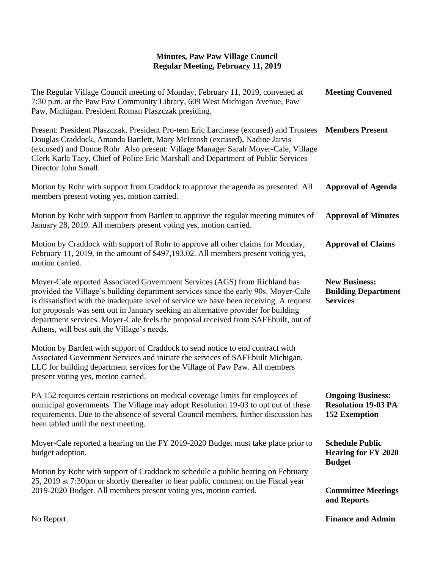## **Minutes, Paw Paw Village Council Regular Meeting, February 11, 2019**

| The Regular Village Council meeting of Monday, February 11, 2019, convened at<br>7:30 p.m. at the Paw Paw Community Library, 609 West Michigan Avenue, Paw<br>Paw, Michigan. President Roman Plaszczak presiding.                                                                                                                                                                                                                                                                      | <b>Meeting Convened</b>                                                        |
|----------------------------------------------------------------------------------------------------------------------------------------------------------------------------------------------------------------------------------------------------------------------------------------------------------------------------------------------------------------------------------------------------------------------------------------------------------------------------------------|--------------------------------------------------------------------------------|
| Present: President Plaszczak, President Pro-tem Eric Larcinese (excused) and Trustees<br>Douglas Craddock, Amanda Bartlett, Mary McIntosh (excused), Nadine Jarvis<br>(excused) and Donne Rohr. Also present: Village Manager Sarah Moyer-Cale, Village<br>Clerk Karla Tacy, Chief of Police Eric Marshall and Department of Public Services<br>Director John Small.                                                                                                                   | <b>Members Present</b>                                                         |
| Motion by Rohr with support from Craddock to approve the agenda as presented. All<br>members present voting yes, motion carried.                                                                                                                                                                                                                                                                                                                                                       | <b>Approval of Agenda</b>                                                      |
| Motion by Rohr with support from Bartlett to approve the regular meeting minutes of<br>January 28, 2019. All members present voting yes, motion carried.                                                                                                                                                                                                                                                                                                                               | <b>Approval of Minutes</b>                                                     |
| Motion by Craddock with support of Rohr to approve all other claims for Monday,<br>February 11, 2019, in the amount of \$497,193.02. All members present voting yes,<br>motion carried.                                                                                                                                                                                                                                                                                                | <b>Approval of Claims</b>                                                      |
| Moyer-Cale reported Associated Government Services (AGS) from Richland has<br>provided the Village's building department services since the early 90s. Moyer-Cale<br>is dissatisfied with the inadequate level of service we have been receiving. A request<br>for proposals was sent out in January seeking an alternative provider for building<br>department services. Moyer-Cale feels the proposal received from SAFEbuilt, out of<br>Athens, will best suit the Village's needs. | <b>New Business:</b><br><b>Building Department</b><br><b>Services</b>          |
| Motion by Bartlett with support of Craddock to send notice to end contract with<br>Associated Government Services and initiate the services of SAFEbuilt Michigan,<br>LLC for building department services for the Village of Paw Paw. All members<br>present voting yes, motion carried.                                                                                                                                                                                              |                                                                                |
| PA 152 requires certain restrictions on medical coverage limits for employees of<br>municipal governments. The Village may adopt Resolution 19-03 to opt out of these<br>requirements. Due to the absence of several Council members, further discussion has<br>been tabled until the next meeting.                                                                                                                                                                                    | <b>Ongoing Business:</b><br><b>Resolution 19-03 PA</b><br><b>152 Exemption</b> |
| Moyer-Cale reported a hearing on the FY 2019-2020 Budget must take place prior to<br>budget adoption.                                                                                                                                                                                                                                                                                                                                                                                  | <b>Schedule Public</b><br><b>Hearing for FY 2020</b><br><b>Budget</b>          |
| Motion by Rohr with support of Craddock to schedule a public hearing on February<br>25, 2019 at 7:30pm or shortly thereafter to hear public comment on the Fiscal year<br>2019-2020 Budget. All members present voting yes, motion carried.                                                                                                                                                                                                                                            |                                                                                |
|                                                                                                                                                                                                                                                                                                                                                                                                                                                                                        | <b>Committee Meetings</b><br>and Reports                                       |
| No Report.                                                                                                                                                                                                                                                                                                                                                                                                                                                                             | <b>Finance and Admin</b>                                                       |